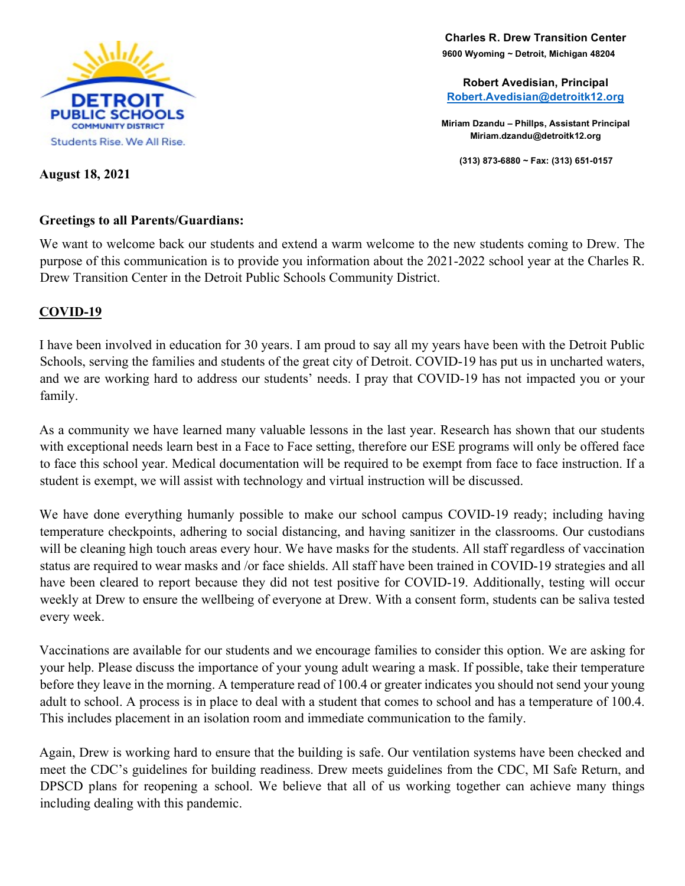

  **9600 Wyoming ~ Detroit, Michigan 48204 Charles R. Drew Transition Center**

**Robert Avedisian, Principal Robert.Avedisian@detroitk12.org**

**Miriam Dzandu – Phillps, Assistant Principal Miriam.dzandu@detroitk12.org**

**(313) 873-6880 ~ Fax: (313) 651-0157**

#### **August 18, 2021**

#### **Greetings to all Parents/Guardians:**

We want to welcome back our students and extend a warm welcome to the new students coming to Drew. The purpose of this communication is to provide you information about the 2021-2022 school year at the Charles R. Drew Transition Center in the Detroit Public Schools Community District.

## **COVID-19**

I have been involved in education for 30 years. I am proud to say all my years have been with the Detroit Public Schools, serving the families and students of the great city of Detroit. COVID-19 has put us in uncharted waters, and we are working hard to address our students' needs. I pray that COVID-19 has not impacted you or your family.

As a community we have learned many valuable lessons in the last year. Research has shown that our students with exceptional needs learn best in a Face to Face setting, therefore our ESE programs will only be offered face to face this school year. Medical documentation will be required to be exempt from face to face instruction. If a student is exempt, we will assist with technology and virtual instruction will be discussed.

We have done everything humanly possible to make our school campus COVID-19 ready; including having temperature checkpoints, adhering to social distancing, and having sanitizer in the classrooms. Our custodians will be cleaning high touch areas every hour. We have masks for the students. All staff regardless of vaccination status are required to wear masks and /or face shields. All staff have been trained in COVID-19 strategies and all have been cleared to report because they did not test positive for COVID-19. Additionally, testing will occur weekly at Drew to ensure the wellbeing of everyone at Drew. With a consent form, students can be saliva tested every week.

Vaccinations are available for our students and we encourage families to consider this option. We are asking for your help. Please discuss the importance of your young adult wearing a mask. If possible, take their temperature before they leave in the morning. A temperature read of 100.4 or greater indicates you should not send your young adult to school. A process is in place to deal with a student that comes to school and has a temperature of 100.4. This includes placement in an isolation room and immediate communication to the family.

Again, Drew is working hard to ensure that the building is safe. Our ventilation systems have been checked and meet the CDC's guidelines for building readiness. Drew meets guidelines from the CDC, MI Safe Return, and DPSCD plans for reopening a school. We believe that all of us working together can achieve many things including dealing with this pandemic.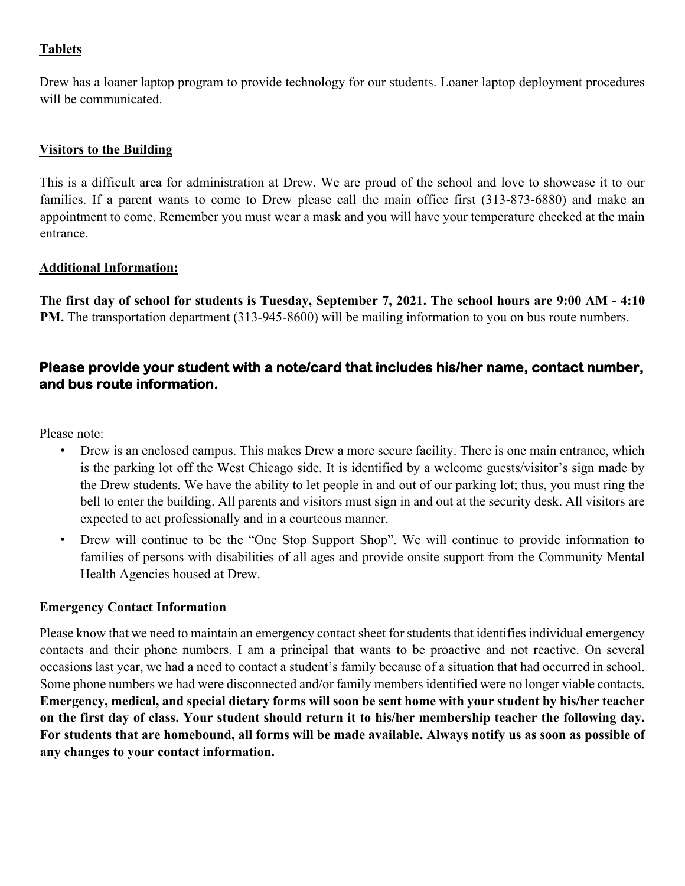# **Tablets**

Drew has a loaner laptop program to provide technology for our students. Loaner laptop deployment procedures will be communicated.

#### **Visitors to the Building**

This is a difficult area for administration at Drew. We are proud of the school and love to showcase it to our families. If a parent wants to come to Drew please call the main office first (313-873-6880) and make an appointment to come. Remember you must wear a mask and you will have your temperature checked at the main entrance.

## **Additional Information:**

**The first day of school for students is Tuesday, September 7, 2021. The school hours are 9:00 AM - 4:10 PM.** The transportation department (313-945-8600) will be mailing information to you on bus route numbers.

# **Please provide your student with a note/card that includes his/her name, contact number, and bus route information.**

Please note:

- Drew is an enclosed campus. This makes Drew a more secure facility. There is one main entrance, which is the parking lot off the West Chicago side. It is identified by a welcome guests/visitor's sign made by the Drew students. We have the ability to let people in and out of our parking lot; thus, you must ring the bell to enter the building. All parents and visitors must sign in and out at the security desk. All visitors are expected to act professionally and in a courteous manner.
- Drew will continue to be the "One Stop Support Shop". We will continue to provide information to families of persons with disabilities of all ages and provide onsite support from the Community Mental Health Agencies housed at Drew.

# **Emergency Contact Information**

Please know that we need to maintain an emergency contact sheet for students that identifies individual emergency contacts and their phone numbers. I am a principal that wants to be proactive and not reactive. On several occasions last year, we had a need to contact a student's family because of a situation that had occurred in school. Some phone numbers we had were disconnected and/or family members identified were no longer viable contacts. **Emergency, medical, and special dietary forms will soon be sent home with your student by his/her teacher on the first day of class. Your student should return it to his/her membership teacher the following day. For students that are homebound, all forms will be made available. Always notify us as soon as possible of any changes to your contact information.**